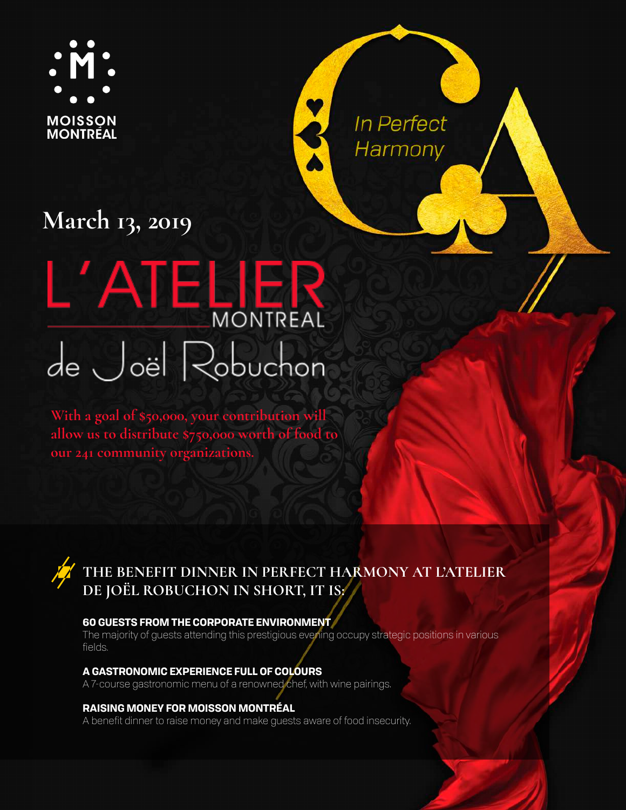

In Perfect Harmony

## **March 13, 2019**

# L'ATELIER de Joël Robuchon

**With a goal of \$50,000, your contribution will allow us to distribute \$750,000 worth of food to our 241 community organizations.** 

## **THE BENEFIT DINNER IN PERFECT HARMONY AT L'ATELIER DE JOËL ROBUCHON IN SHORT, IT IS:**

#### **60 GUESTS FROM THE CORPORATE ENVIRONMENT**

The majority of guests attending this prestigious evening occupy strategic positions in various fields.

#### **A GASTRONOMIC EXPERIENCE FULL OF COLOURS**

A 7-course gastronomic menu of a renowned chef, with wine pairings.

#### **RAISING MONEY FOR MOISSON MONTRÉAL**

A benefit dinner to raise money and make guests aware of food insecurity.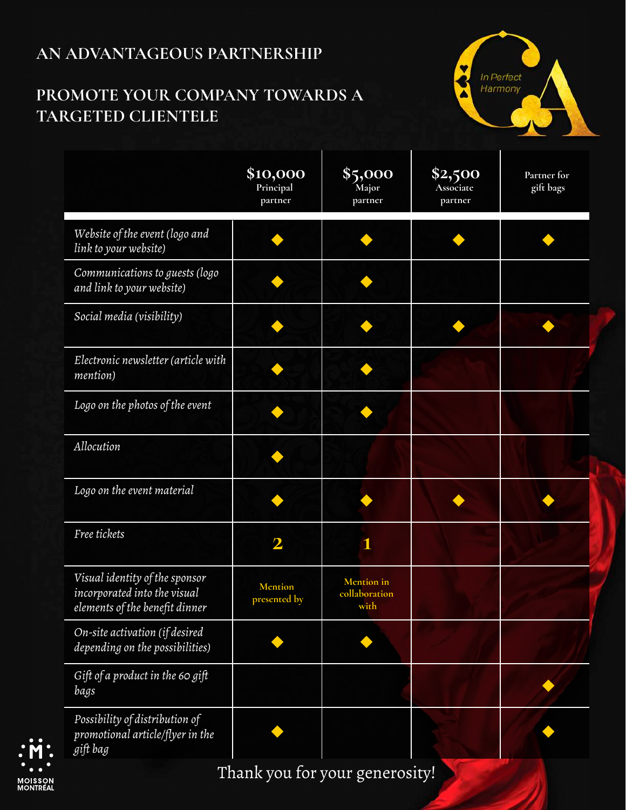## **AN ADVANTAGEOUS PARTNERSHIP**

## **PROMOTE YOUR COMPANY TOWARDS A TARGETED CLIENTELE**



|                                                                                                  | \$10,000<br>Principal<br>partner | \$5,000<br>Major<br>partner         | \$2,500<br>Associate<br>partner | Partner for<br>gift bags |
|--------------------------------------------------------------------------------------------------|----------------------------------|-------------------------------------|---------------------------------|--------------------------|
| Website of the event (logo and<br>link to your website)                                          |                                  |                                     |                                 |                          |
| Communications to guests (logo<br>and link to your website)                                      |                                  |                                     |                                 |                          |
| Social media (visibility)                                                                        |                                  |                                     |                                 |                          |
| Electronic newsletter (article with<br>mention)                                                  |                                  |                                     |                                 |                          |
| Logo on the photos of the event                                                                  |                                  |                                     |                                 |                          |
| Allocution                                                                                       |                                  |                                     |                                 |                          |
| Logo on the event material                                                                       |                                  |                                     |                                 |                          |
| Free tickets                                                                                     | $\mathbf 2$                      |                                     |                                 |                          |
| Visual identity of the sponsor<br>incorporated into the visual<br>elements of the benefit dinner | <b>Mention</b><br>presented by   | Mention in<br>collaboration<br>with |                                 |                          |
| On-site activation (if desired<br>depending on the possibilities)                                |                                  |                                     |                                 |                          |
| Gift of a product in the 60 gift<br>bags                                                         |                                  |                                     |                                 |                          |
| Possibility of distribution of<br>promotional article/flyer in the<br>gift bag                   |                                  |                                     |                                 |                          |



Thank you for your generosity!